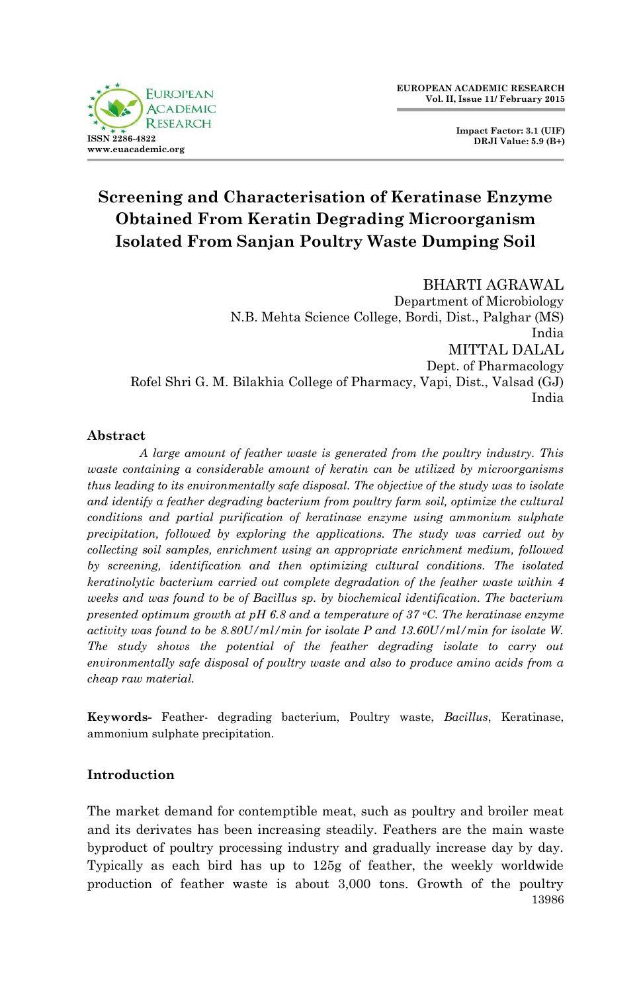

**Impact Factor: 3.1 (UIF) DRJI Value: 5.9 (B+)**

# **Screening and Characterisation of Keratinase Enzyme Obtained From Keratin Degrading Microorganism Isolated From Sanjan Poultry Waste Dumping Soil**

## BHARTI AGRAWAL Department of Microbiology N.B. Mehta Science College, Bordi, Dist., Palghar (MS) India MITTAL DALAL Dept. of Pharmacology Rofel Shri G. M. Bilakhia College of Pharmacy, Vapi, Dist., Valsad (GJ) India

## **Abstract**

*A large amount of feather waste is generated from the poultry industry. This waste containing a considerable amount of keratin can be utilized by microorganisms thus leading to its environmentally safe disposal. The objective of the study was to isolate*  and identify a feather degrading bacterium from poultry farm soil, optimize the cultural *conditions and partial purification of keratinase enzyme using ammonium sulphate precipitation, followed by exploring the applications. The study was carried out by collecting soil samples, enrichment using an appropriate enrichment medium, followed by screening, identification and then optimizing cultural conditions. The isolated keratinolytic bacterium carried out complete degradation of the feather waste within 4 weeks and was found to be of Bacillus sp. by biochemical identification. The bacterium presented optimum growth at pH 6.8 and a temperature of 37 oC. The keratinase enzyme activity was found to be 8.80U/ml/min for isolate P and 13.60U/ml/min for isolate W. The study shows the potential of the feather degrading isolate to carry out environmentally safe disposal of poultry waste and also to produce amino acids from a cheap raw material.*

**Keywords-** Feather- degrading bacterium, Poultry waste, *Bacillus*, Keratinase, ammonium sulphate precipitation.

## **Introduction**

13986 The market demand for contemptible meat, such as poultry and broiler meat and its derivates has been increasing steadily. Feathers are the main waste byproduct of poultry processing industry and gradually increase day by day. Typically as each bird has up to 125g of feather, the weekly worldwide production of feather waste is about 3,000 tons. Growth of the poultry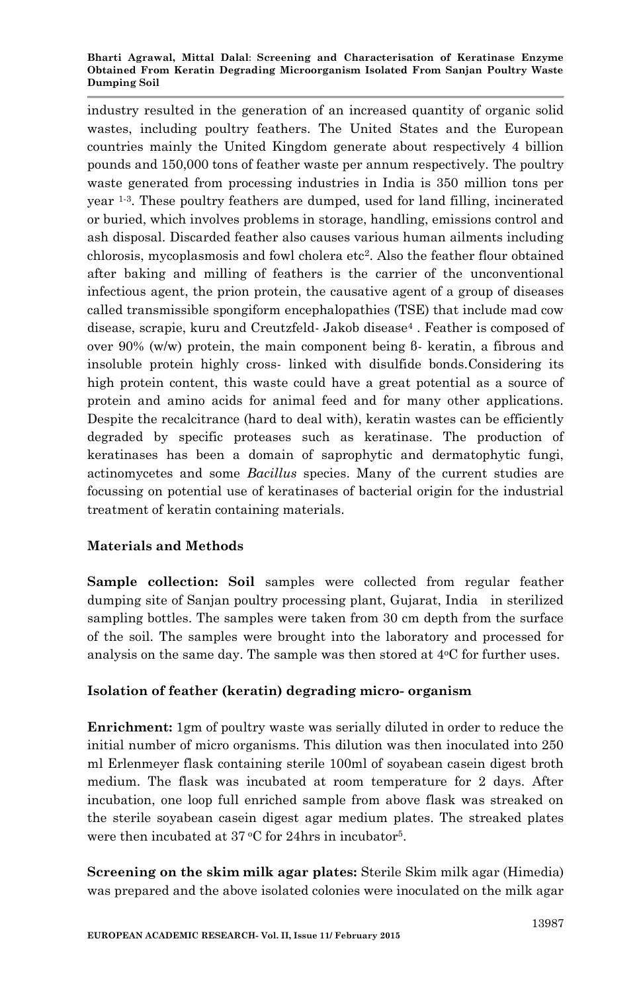#### **Bharti Agrawal, Mittal Dalal**: **Screening and Characterisation of Keratinase Enzyme Obtained From Keratin Degrading Microorganism Isolated From Sanjan Poultry Waste Dumping Soil**

industry resulted in the generation of an increased quantity of organic solid wastes, including poultry feathers. The United States and the European countries mainly the United Kingdom generate about respectively 4 billion pounds and 150,000 tons of feather waste per annum respectively. The poultry waste generated from processing industries in India is 350 million tons per year 1-3 . These poultry feathers are dumped, used for land filling, incinerated or buried, which involves problems in storage, handling, emissions control and ash disposal. Discarded feather also causes various human ailments including chlorosis, mycoplasmosis and fowl cholera etc<sup>2</sup> . Also the feather flour obtained after baking and milling of feathers is the carrier of the unconventional infectious agent, the prion protein, the causative agent of a group of diseases called transmissible spongiform encephalopathies (TSE) that include mad cow disease, scrapie, kuru and Creutzfeld- Jakob disease<sup>4</sup> . Feather is composed of over 90% (w/w) protein, the main component being β- keratin, a fibrous and insoluble protein highly cross- linked with disulfide bonds.Considering its high protein content, this waste could have a great potential as a source of protein and amino acids for animal feed and for many other applications. Despite the recalcitrance (hard to deal with), keratin wastes can be efficiently degraded by specific proteases such as keratinase. The production of keratinases has been a domain of saprophytic and dermatophytic fungi, actinomycetes and some *Bacillus* species. Many of the current studies are focussing on potential use of keratinases of bacterial origin for the industrial treatment of keratin containing materials.

# **Materials and Methods**

**Sample collection: Soil** samples were collected from regular feather dumping site of Sanjan poultry processing plant, Gujarat, India in sterilized sampling bottles. The samples were taken from 30 cm depth from the surface of the soil. The samples were brought into the laboratory and processed for analysis on the same day. The sample was then stored at  $4^{\circ}$ C for further uses.

## **Isolation of feather (keratin) degrading micro- organism**

**Enrichment:** 1gm of poultry waste was serially diluted in order to reduce the initial number of micro organisms. This dilution was then inoculated into 250 ml Erlenmeyer flask containing sterile 100ml of soyabean casein digest broth medium. The flask was incubated at room temperature for 2 days. After incubation, one loop full enriched sample from above flask was streaked on the sterile soyabean casein digest agar medium plates. The streaked plates were then incubated at  $37^{\circ}$ C for 24hrs in incubator<sup>5</sup>.

**Screening on the skim milk agar plates:** Sterile Skim milk agar (Himedia) was prepared and the above isolated colonies were inoculated on the milk agar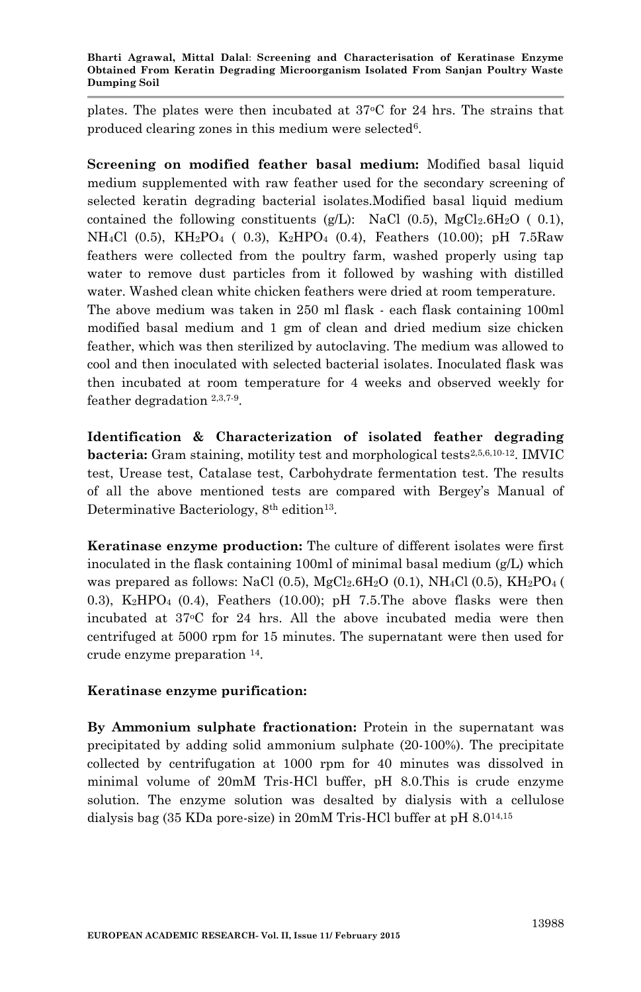plates. The plates were then incubated at  $37^{\circ}$ C for 24 hrs. The strains that produced clearing zones in this medium were selected<sup>6</sup>.

**Screening on modified feather basal medium:** Modified basal liquid medium supplemented with raw feather used for the secondary screening of selected keratin degrading bacterial isolates.Modified basal liquid medium contained the following constituents (g/L): NaCl (0.5), MgCl<sub>2</sub>.6H<sub>2</sub>O (0.1), NH4Cl (0.5), KH2PO4 ( 0.3), K2HPO4 (0.4), Feathers (10.00); pH 7.5Raw feathers were collected from the poultry farm, washed properly using tap water to remove dust particles from it followed by washing with distilled water. Washed clean white chicken feathers were dried at room temperature. The above medium was taken in 250 ml flask - each flask containing 100ml modified basal medium and 1 gm of clean and dried medium size chicken feather, which was then sterilized by autoclaving. The medium was allowed to cool and then inoculated with selected bacterial isolates. Inoculated flask was then incubated at room temperature for 4 weeks and observed weekly for feather degradation 2,3,7-9 .

**Identification & Characterization of isolated feather degrading bacteria:** Gram staining, motility test and morphological tests<sup>2,5,6,10-12</sup>. IMVIC test, Urease test, Catalase test, Carbohydrate fermentation test. The results of all the above mentioned tests are compared with Bergey's Manual of Determinative Bacteriology, 8<sup>th</sup> edition<sup>13</sup>.

**Keratinase enzyme production:** The culture of different isolates were first inoculated in the flask containing 100ml of minimal basal medium (g/L) which was prepared as follows: NaCl (0.5), MgCl<sub>2</sub>.6H<sub>2</sub>O (0.1), NH<sub>4</sub>Cl (0.5), KH<sub>2</sub>PO<sub>4</sub> ( 0.3),  $K_2HPO_4$  (0.4), Feathers (10.00); pH 7.5. The above flasks were then incubated at 37<sup>o</sup>C for 24 hrs. All the above incubated media were then centrifuged at 5000 rpm for 15 minutes. The supernatant were then used for crude enzyme preparation <sup>14</sup> .

## **Keratinase enzyme purification:**

**By Ammonium sulphate fractionation:** Protein in the supernatant was precipitated by adding solid ammonium sulphate (20-100%). The precipitate collected by centrifugation at 1000 rpm for 40 minutes was dissolved in minimal volume of 20mM Tris-HCl buffer, pH 8.0.This is crude enzyme solution. The enzyme solution was desalted by dialysis with a cellulose dialysis bag (35 KDa pore-size) in 20mM Tris-HCl buffer at pH 8.014,15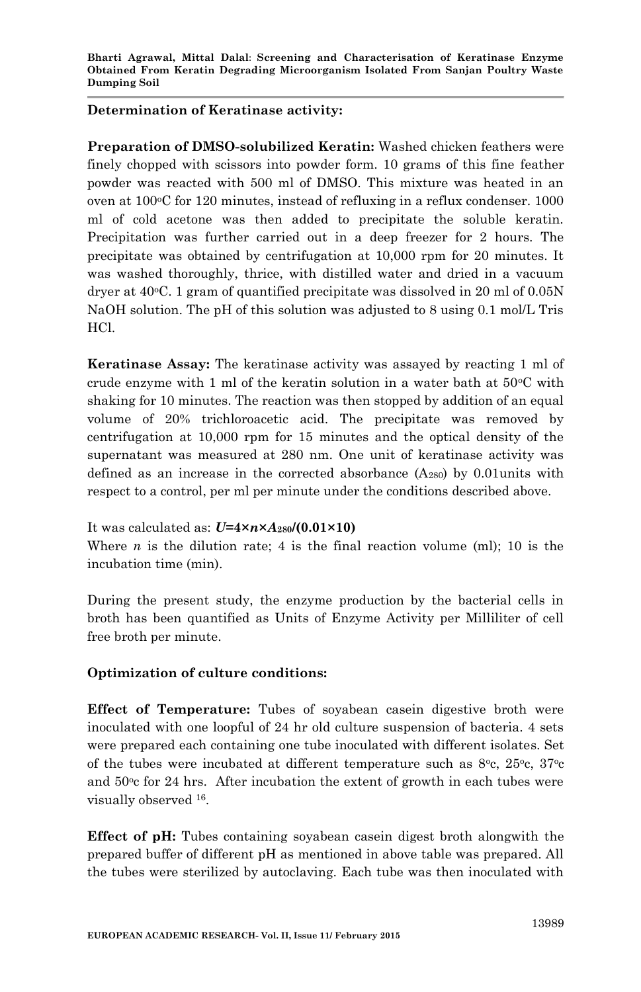## **Determination of Keratinase activity:**

**Preparation of DMSO-solubilized Keratin:** Washed chicken feathers were finely chopped with scissors into powder form. 10 grams of this fine feather powder was reacted with 500 ml of DMSO. This mixture was heated in an oven at  $100\degree$ C for 120 minutes, instead of refluxing in a reflux condenser. 1000 ml of cold acetone was then added to precipitate the soluble keratin. Precipitation was further carried out in a deep freezer for 2 hours. The precipitate was obtained by centrifugation at 10,000 rpm for 20 minutes. It was washed thoroughly, thrice, with distilled water and dried in a vacuum dryer at  $40^{\circ}$ C. 1 gram of quantified precipitate was dissolved in 20 ml of 0.05N NaOH solution. The pH of this solution was adjusted to 8 using 0.1 mol/L Tris HCl.

**Keratinase Assay:** The keratinase activity was assayed by reacting 1 ml of crude enzyme with 1 ml of the keratin solution in a water bath at  $50^{\circ}$ C with shaking for 10 minutes. The reaction was then stopped by addition of an equal volume of 20% trichloroacetic acid. The precipitate was removed by centrifugation at 10,000 rpm for 15 minutes and the optical density of the supernatant was measured at 280 nm. One unit of keratinase activity was defined as an increase in the corrected absorbance  $(A_{280})$  by 0.01 units with respect to a control, per ml per minute under the conditions described above.

## It was calculated as: *U***=4×***n***×***A***280/(0.01×10)**

Where *n* is the dilution rate; 4 is the final reaction volume (ml); 10 is the incubation time (min).

During the present study, the enzyme production by the bacterial cells in broth has been quantified as Units of Enzyme Activity per Milliliter of cell free broth per minute.

## **Optimization of culture conditions:**

**Effect of Temperature:** Tubes of soyabean casein digestive broth were inoculated with one loopful of 24 hr old culture suspension of bacteria. 4 sets were prepared each containing one tube inoculated with different isolates. Set of the tubes were incubated at different temperature such as  $8^{\circ}$ c,  $25^{\circ}$ c,  $37^{\circ}$ c and  $50^{\circ}$ c for 24 hrs. After incubation the extent of growth in each tubes were visually observed <sup>16</sup> .

**Effect of pH:** Tubes containing soyabean casein digest broth alongwith the prepared buffer of different pH as mentioned in above table was prepared. All the tubes were sterilized by autoclaving. Each tube was then inoculated with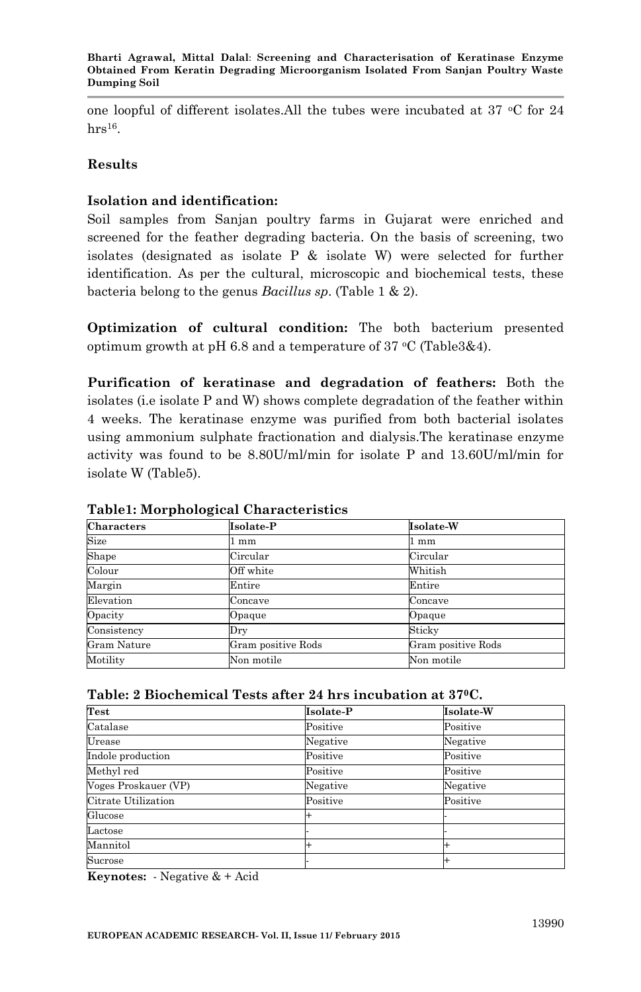one loopful of different isolates.All the tubes were incubated at 37  $\,^{\circ}$ C for 24  $hrs<sup>16</sup>.$ 

## **Results**

## **Isolation and identification:**

Soil samples from Sanjan poultry farms in Gujarat were enriched and screened for the feather degrading bacteria. On the basis of screening, two isolates (designated as isolate P & isolate W) were selected for further identification. As per the cultural, microscopic and biochemical tests, these bacteria belong to the genus *Bacillus sp*. (Table 1 & 2).

**Optimization of cultural condition:** The both bacterium presented optimum growth at pH 6.8 and a temperature of 37  $°C$  (Table3&4).

**Purification of keratinase and degradation of feathers:** Both the isolates (i.e isolate P and W) shows complete degradation of the feather within 4 weeks. The keratinase enzyme was purified from both bacterial isolates using ammonium sulphate fractionation and dialysis.The keratinase enzyme activity was found to be 8.80U/ml/min for isolate P and 13.60U/ml/min for isolate W (Table5).

| <b>Characters</b>  | Isolate-P          | Isolate-W          |
|--------------------|--------------------|--------------------|
| Size               | mm                 | mm                 |
| Shape              | Circular           | Circular           |
| Colour             | Off white          | Whitish            |
| Margin             | Entire             | Entire             |
| Elevation          | Concave            | Concave            |
| Opacity            | Opaque             | Opaque             |
| Consistency        | Dry                | Sticky             |
| <b>Gram Nature</b> | Gram positive Rods | Gram positive Rods |
| Motility           | Non motile         | Non motile         |

#### **Table1: Morphological Characteristics**

| Table: 2 Biochemical Tests after 24 hrs incubation at 37ºC. $\,$ |  |
|------------------------------------------------------------------|--|
|------------------------------------------------------------------|--|

| Test                 | Isolate-P | Isolate-W |
|----------------------|-----------|-----------|
| Catalase             | Positive  | Positive  |
| Urease               | Negative  | Negative  |
| Indole production    | Positive  | Positive  |
| Methyl red           | Positive  | Positive  |
| Voges Proskauer (VP) | Negative  | Negative  |
| Citrate Utilization  | Positive  | Positive  |
| Glucose              |           |           |
| Lactose              |           |           |
| Mannitol             |           |           |
| Sucrose              |           |           |

**Keynotes:** - Negative & + Acid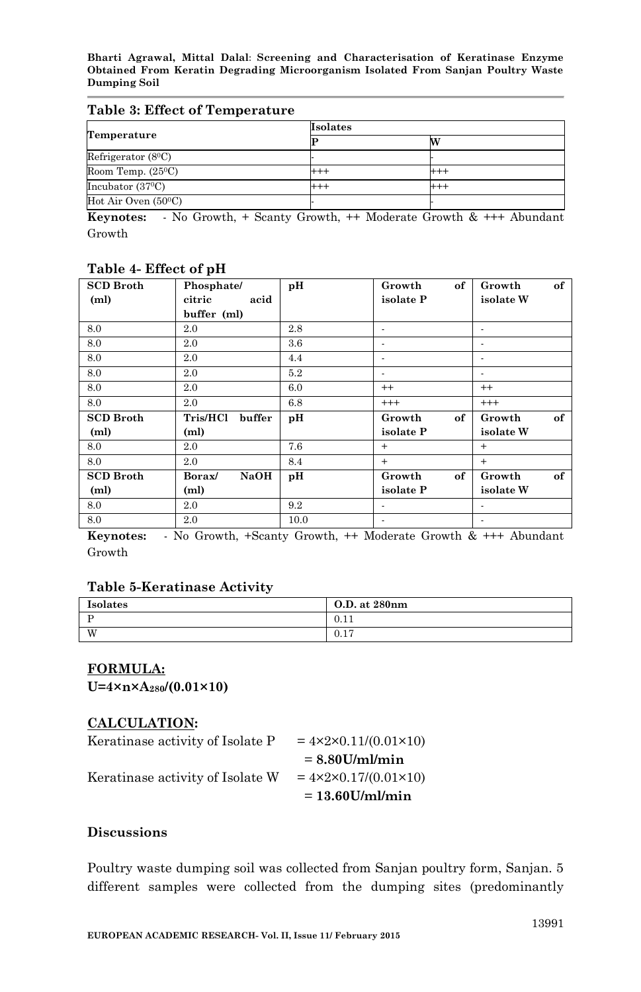**Bharti Agrawal, Mittal Dalal**: **Screening and Characterisation of Keratinase Enzyme Obtained From Keratin Degrading Microorganism Isolated From Sanjan Poultry Waste Dumping Soil**

#### **Table 3: Effect of Temperature**

|                            | <b>Isolates</b> |     |  |
|----------------------------|-----------------|-----|--|
| Temperature                |                 | M   |  |
| Refrigerator $(8^0C)$      |                 |     |  |
| Room Temp. $(25^{\circ}C)$ | $^{+++}$        |     |  |
| Incubator $(37^{\circ}C)$  | $^{+++}$        | +++ |  |
| Hot Air Oven $(50^0C)$     |                 |     |  |

**Keynotes:** - No Growth, + Scanty Growth, ++ Moderate Growth & +++ Abundant Growth

| <b>SCD Broth</b>  | Phosphate/                | pН      | of<br>Growth | of<br>Growth |
|-------------------|---------------------------|---------|--------------|--------------|
| (m <sub>l</sub> ) | citric<br>acid            |         | isolate P    | isolate W    |
|                   | buffer (ml)               |         |              |              |
| 8.0               | 2.0                       | 2.8     |              |              |
| 8.0               | 2.0                       | $3.6\,$ |              |              |
| 8.0               | 2.0                       | 4.4     | ٠            |              |
| 8.0               | 2.0                       | 5.2     | ٠            |              |
| 8.0               | 2.0                       | 6.0     | $^{++}$      | $^{++}$      |
| 8.0               | 2.0                       | 6.8     | $^{+++}$     | $^{+++}$     |
| <b>SCD Broth</b>  | <b>Tris/HCl</b><br>buffer | рH      | of<br>Growth | of<br>Growth |
| (m <sub>l</sub> ) | (ml)                      |         | isolate P    | isolate W    |
| 8.0               | 2.0                       | 7.6     | $+$          | $+$          |
| 8.0               | 2.0                       | 8.4     | $+$          | $+$          |
| <b>SCD Broth</b>  | <b>NaOH</b><br>Borax/     | pН      | of<br>Growth | of<br>Growth |
| (m <sub>l</sub> ) | (ml)                      |         | isolate P    | isolate W    |
| 8.0               | $2.0\,$                   | 9.2     | ÷.           |              |
| 8.0               | 2.0                       | 10.0    | ۰            |              |

#### **Table 4- Effect of pH**

**Keynotes:** - No Growth, +Scanty Growth, ++ Moderate Growth & +++ Abundant Growth

#### **Table 5-Keratinase Activity**

| Isolates | O.D. at 280nm          |
|----------|------------------------|
|          | 0.11                   |
| W        | $\blacksquare$<br>0.1' |

#### **FORMULA:**

**U=4×n×A280/(0.01×10)**

#### **CALCULATION:**

| Keratinase activity of Isolate P | $= 4 \times 2 \times 0.11/(0.01 \times 10)$ |
|----------------------------------|---------------------------------------------|
|                                  | $= 8.80$ U/ml/min                           |
| Keratinase activity of Isolate W | $= 4 \times 2 \times 0.17/(0.01 \times 10)$ |
|                                  | $= 13.60$ U/ml/min                          |

#### **Discussions**

Poultry waste dumping soil was collected from Sanjan poultry form, Sanjan. 5 different samples were collected from the dumping sites (predominantly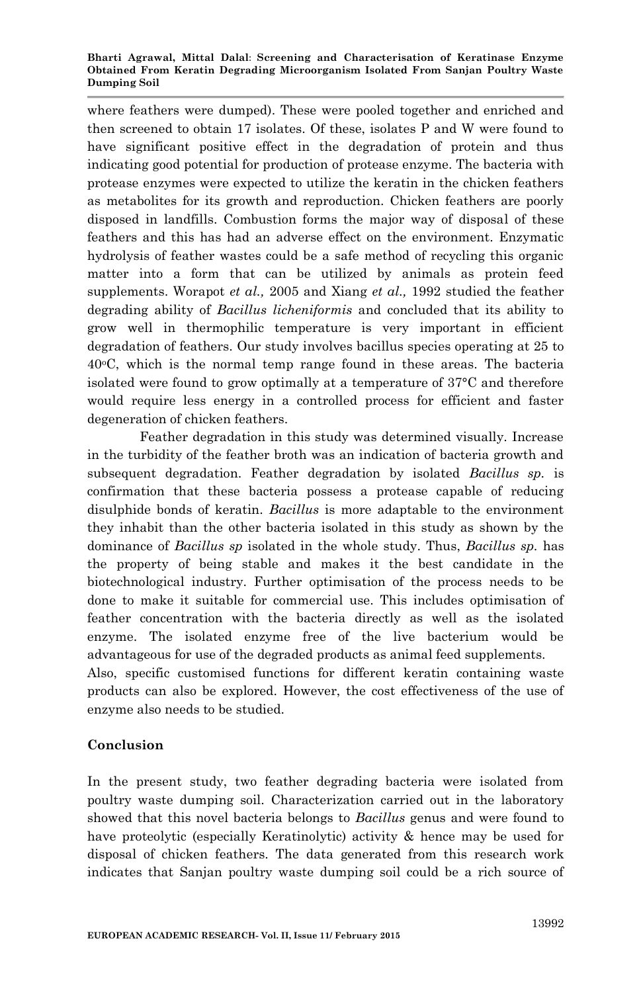#### **Bharti Agrawal, Mittal Dalal**: **Screening and Characterisation of Keratinase Enzyme Obtained From Keratin Degrading Microorganism Isolated From Sanjan Poultry Waste Dumping Soil**

where feathers were dumped). These were pooled together and enriched and then screened to obtain 17 isolates. Of these, isolates P and W were found to have significant positive effect in the degradation of protein and thus indicating good potential for production of protease enzyme. The bacteria with protease enzymes were expected to utilize the keratin in the chicken feathers as metabolites for its growth and reproduction. Chicken feathers are poorly disposed in landfills. Combustion forms the major way of disposal of these feathers and this has had an adverse effect on the environment. Enzymatic hydrolysis of feather wastes could be a safe method of recycling this organic matter into a form that can be utilized by animals as protein feed supplements. Worapot *et al.,* 2005 and Xiang *et al.,* 1992 studied the feather degrading ability of *Bacillus licheniformis* and concluded that its ability to grow well in thermophilic temperature is very important in efficient degradation of feathers. Our study involves bacillus species operating at 25 to  $40^{\circ}$ C, which is the normal temp range found in these areas. The bacteria isolated were found to grow optimally at a temperature of 37°C and therefore would require less energy in a controlled process for efficient and faster degeneration of chicken feathers.

Feather degradation in this study was determined visually. Increase in the turbidity of the feather broth was an indication of bacteria growth and subsequent degradation. Feather degradation by isolated *Bacillus sp.* is confirmation that these bacteria possess a protease capable of reducing disulphide bonds of keratin. *Bacillus* is more adaptable to the environment they inhabit than the other bacteria isolated in this study as shown by the dominance of *Bacillus sp* isolated in the whole study. Thus, *Bacillus sp.* has the property of being stable and makes it the best candidate in the biotechnological industry. Further optimisation of the process needs to be done to make it suitable for commercial use. This includes optimisation of feather concentration with the bacteria directly as well as the isolated enzyme. The isolated enzyme free of the live bacterium would be advantageous for use of the degraded products as animal feed supplements.

Also, specific customised functions for different keratin containing waste products can also be explored. However, the cost effectiveness of the use of enzyme also needs to be studied.

## **Conclusion**

In the present study, two feather degrading bacteria were isolated from poultry waste dumping soil. Characterization carried out in the laboratory showed that this novel bacteria belongs to *Bacillus* genus and were found to have proteolytic (especially Keratinolytic) activity & hence may be used for disposal of chicken feathers. The data generated from this research work indicates that Sanjan poultry waste dumping soil could be a rich source of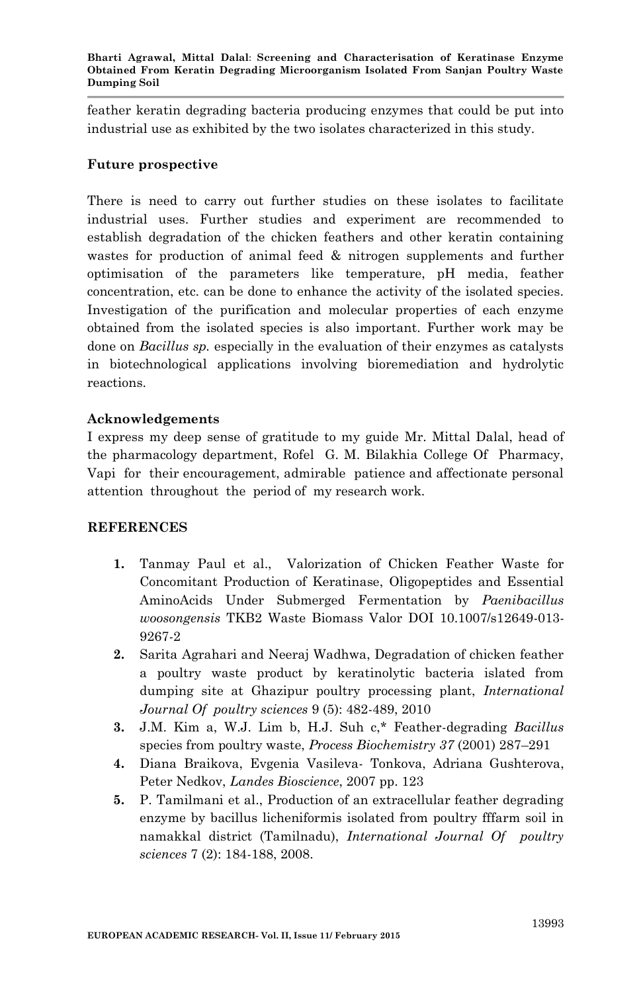feather keratin degrading bacteria producing enzymes that could be put into industrial use as exhibited by the two isolates characterized in this study.

## **Future prospective**

There is need to carry out further studies on these isolates to facilitate industrial uses. Further studies and experiment are recommended to establish degradation of the chicken feathers and other keratin containing wastes for production of animal feed & nitrogen supplements and further optimisation of the parameters like temperature, pH media, feather concentration, etc. can be done to enhance the activity of the isolated species. Investigation of the purification and molecular properties of each enzyme obtained from the isolated species is also important. Further work may be done on *Bacillus sp.* especially in the evaluation of their enzymes as catalysts in biotechnological applications involving bioremediation and hydrolytic reactions.

## **Acknowledgements**

I express my deep sense of gratitude to my guide Mr. Mittal Dalal, head of the pharmacology department, Rofel G. M. Bilakhia College Of Pharmacy, Vapi for their encouragement, admirable patience and affectionate personal attention throughout the period of my research work.

## **REFERENCES**

- **1.** Tanmay Paul et al., Valorization of Chicken Feather Waste for Concomitant Production of Keratinase, Oligopeptides and Essential AminoAcids Under Submerged Fermentation by *Paenibacillus woosongensis* TKB2 Waste Biomass Valor DOI 10.1007/s12649-013- 9267-2
- **2.** Sarita Agrahari and Neeraj Wadhwa, Degradation of chicken feather a poultry waste product by keratinolytic bacteria islated from dumping site at Ghazipur poultry processing plant, *International Journal Of poultry sciences* 9 (5): 482-489, 2010
- **3.** J.M. Kim a, W.J. Lim b, H.J. Suh c,\* Feather-degrading *Bacillus*  species from poultry waste, *Process Biochemistry 37* (2001) 287–291
- **4.** Diana Braikova, Evgenia Vasileva- Tonkova, Adriana Gushterova, Peter Nedkov, *Landes Bioscience*, 2007 pp. 123
- **5.** P. Tamilmani et al., Production of an extracellular feather degrading enzyme by bacillus licheniformis isolated from poultry fffarm soil in namakkal district (Tamilnadu), *International Journal Of poultry sciences* 7 (2): 184-188, 2008.